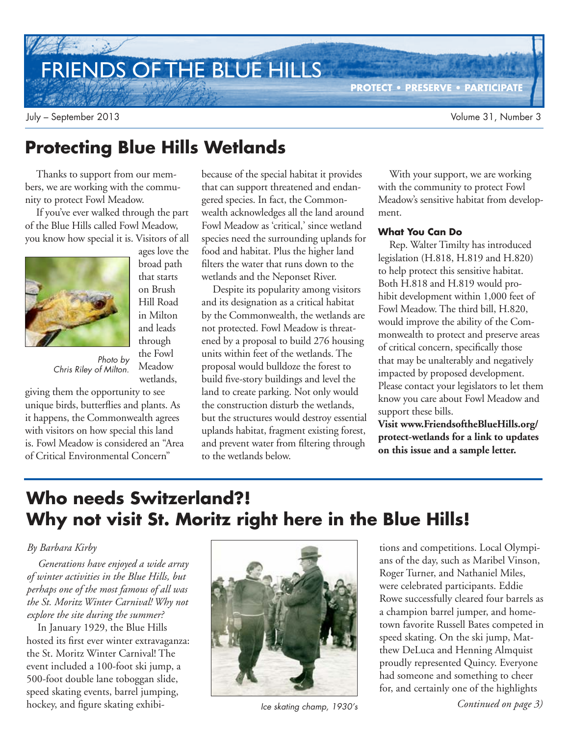# FRIENDS OF THE BLUE HILLS

July – September 2013 Volume 31, Number 3

## **Protecting Blue Hills Wetlands**

ages love the broad path that starts on Brush Hill Road in Milton and leads through the Fowl Meadow wetlands,

Thanks to support from our members, we are working with the community to protect Fowl Meadow.

If you've ever walked through the part of the Blue Hills called Fowl Meadow, you know how special it is. Visitors of all



Photo by Chris Riley of Milton.

giving them the opportunity to see unique birds, butterflies and plants. As it happens, the Commonwealth agrees with visitors on how special this land is. Fowl Meadow is considered an "Area of Critical Environmental Concern"

because of the special habitat it provides that can support threatened and endangered species. In fact, the Commonwealth acknowledges all the land around Fowl Meadow as 'critical,' since wetland species need the surrounding uplands for food and habitat. Plus the higher land filters the water that runs down to the wetlands and the Neponset River.

Despite its popularity among visitors and its designation as a critical habitat by the Commonwealth, the wetlands are not protected. Fowl Meadow is threatened by a proposal to build 276 housing units within feet of the wetlands. The proposal would bulldoze the forest to build five-story buildings and level the land to create parking. Not only would the construction disturb the wetlands, but the structures would destroy essential uplands habitat, fragment existing forest, and prevent water from filtering through to the wetlands below.

With your support, we are working with the community to protect Fowl Meadow's sensitive habitat from development.

**PROTECT • PRESERVE • PARTICIPATE**

#### **What You Can Do**

Rep. Walter Timilty has introduced legislation (H.818, H.819 and H.820) to help protect this sensitive habitat. Both H.818 and H.819 would prohibit development within 1,000 feet of Fowl Meadow. The third bill, H.820, would improve the ability of the Commonwealth to protect and preserve areas of critical concern, specifically those that may be unalterably and negatively impacted by proposed development. Please contact your legislators to let them know you care about Fowl Meadow and support these bills.

**Visit www.FriendsoftheBlueHills.org/ protect-wetlands for a link to updates on this issue and a sample letter.**

## **Who needs Switzerland?! Why not visit St. Moritz right here in the Blue Hills!**

#### *By Barbara Kirby*

*Generations have enjoyed a wide array of winter activities in the Blue Hills, but perhaps one of the most famous of all was the St. Moritz Winter Carnival! Why not explore the site during the summer?*

In January 1929, the Blue Hills hosted its first ever winter extravaganza: the St. Moritz Winter Carnival! The event included a 100-foot ski jump, a 500-foot double lane toboggan slide, speed skating events, barrel jumping, hockey, and figure skating exhibi-



tions and competitions. Local Olympians of the day, such as Maribel Vinson, Roger Turner, and Nathaniel Miles, were celebrated participants. Eddie Rowe successfully cleared four barrels as a champion barrel jumper, and hometown favorite Russell Bates competed in speed skating. On the ski jump, Matthew DeLuca and Henning Almquist proudly represented Quincy. Everyone had someone and something to cheer for, and certainly one of the highlights

*Continued on page 3)* Ice skating champ, 1930's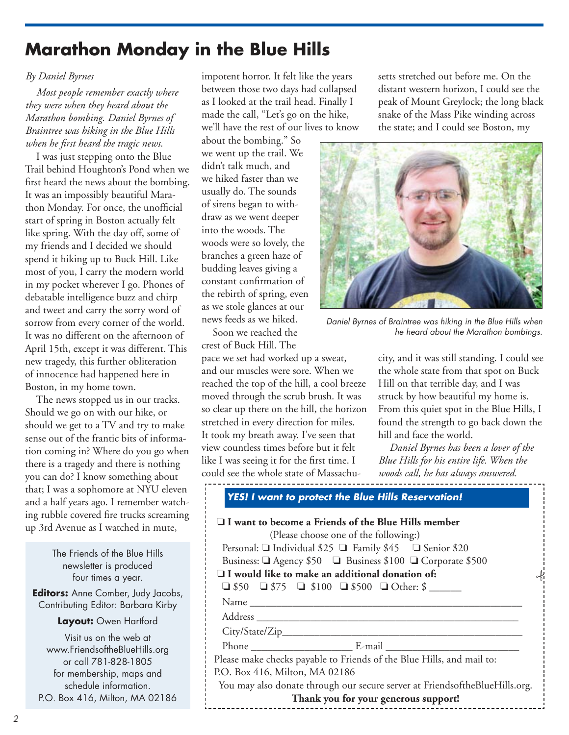## **Marathon Monday in the Blue Hills**

#### *By Daniel Byrnes*

*Most people remember exactly where they were when they heard about the Marathon bombing. Daniel Byrnes of Braintree was hiking in the Blue Hills when he first heard the tragic news.*

I was just stepping onto the Blue Trail behind Houghton's Pond when we first heard the news about the bombing. It was an impossibly beautiful Marathon Monday. For once, the unofficial start of spring in Boston actually felt like spring. With the day off, some of my friends and I decided we should spend it hiking up to Buck Hill. Like most of you, I carry the modern world in my pocket wherever I go. Phones of debatable intelligence buzz and chirp and tweet and carry the sorry word of sorrow from every corner of the world. It was no different on the afternoon of April 15th, except it was different. This new tragedy, this further obliteration of innocence had happened here in Boston, in my home town.

The news stopped us in our tracks. Should we go on with our hike, or should we get to a TV and try to make sense out of the frantic bits of information coming in? Where do you go when there is a tragedy and there is nothing you can do? I know something about that; I was a sophomore at NYU eleven and a half years ago. I remember watching rubble covered fire trucks screaming up 3rd Avenue as I watched in mute,

> The Friends of the Blue Hills newsletter is produced four times a year.

**Editors:** Anne Comber, Judy Jacobs, Contributing Editor: Barbara Kirby

**Layout:** Owen Hartford

Visit us on the web at www.FriendsoftheBlueHills.org or call 781-828-1805 for membership, maps and schedule information. P.O. Box 416, Milton, MA 02186 impotent horror. It felt like the years between those two days had collapsed as I looked at the trail head. Finally I made the call, "Let's go on the hike, we'll have the rest of our lives to know

about the bombing." So we went up the trail. We didn't talk much, and we hiked faster than we usually do. The sounds of sirens began to withdraw as we went deeper into the woods. The woods were so lovely, the branches a green haze of budding leaves giving a constant confirmation of the rebirth of spring, even as we stole glances at our news feeds as we hiked.

Soon we reached the crest of Buck Hill. The

pace we set had worked up a sweat, and our muscles were sore. When we reached the top of the hill, a cool breeze moved through the scrub brush. It was so clear up there on the hill, the horizon stretched in every direction for miles. It took my breath away. I've seen that view countless times before but it felt like I was seeing it for the first time. I could see the whole state of Massachusetts stretched out before me. On the distant western horizon, I could see the peak of Mount Greylock; the long black snake of the Mass Pike winding across the state; and I could see Boston, my



Daniel Byrnes of Braintree was hiking in the Blue Hills when he heard about the Marathon bombings.

city, and it was still standing. I could see the whole state from that spot on Buck Hill on that terrible day, and I was struck by how beautiful my home is. From this quiet spot in the Blue Hills, I found the strength to go back down the hill and face the world.

*Daniel Byrnes has been a lover of the Blue Hills for his entire life. When the woods call, he has always answered.*

|  | YES! I want to protect the Blue Hills Reservation! |
|--|----------------------------------------------------|
|  |                                                    |

| $\Box$ I want to become a Friends of the Blue Hills member<br>(Please choose one of the following:)<br>Personal: $\Box$ Individual \$25 $\Box$ Family \$45 $\Box$ Senior \$20 |  |  |  |
|-------------------------------------------------------------------------------------------------------------------------------------------------------------------------------|--|--|--|
| Business: □ Agency \$50 □ Business \$100 □ Corporate \$500                                                                                                                    |  |  |  |
| $\Box$ I would like to make an additional donation of:                                                                                                                        |  |  |  |
| $\Box$ \$50 $\Box$ \$75 $\Box$ \$100 $\Box$ \$500 $\Box$ Other: \$                                                                                                            |  |  |  |
|                                                                                                                                                                               |  |  |  |
|                                                                                                                                                                               |  |  |  |
|                                                                                                                                                                               |  |  |  |
|                                                                                                                                                                               |  |  |  |
| Please make checks payable to Friends of the Blue Hills, and mail to:                                                                                                         |  |  |  |
| P.O. Box 416, Milton, MA 02186                                                                                                                                                |  |  |  |
| You may also donate through our secure server at FriendsoftheBlueHills.org.                                                                                                   |  |  |  |
| Thank you for your generous support!                                                                                                                                          |  |  |  |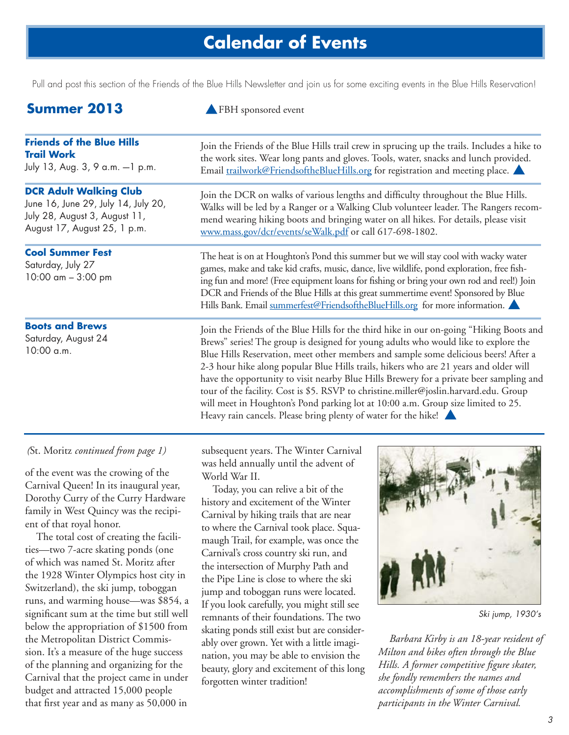## **Calendar of Events**

Pull and post this section of the Friends of the Blue Hills Newsletter and join us for some exciting events in the Blue Hills Reservation!

### **Summer 2013** A FBH sponsored event

| <b>Friends of the Blue Hills</b>                                                    | Join the Friends of the Blue Hills trail crew in sprucing up the trails. Includes a hike to                                                                                                                                                                                                                                                                                                                                                                                                                                                                                                                                                                                                              |  |
|-------------------------------------------------------------------------------------|----------------------------------------------------------------------------------------------------------------------------------------------------------------------------------------------------------------------------------------------------------------------------------------------------------------------------------------------------------------------------------------------------------------------------------------------------------------------------------------------------------------------------------------------------------------------------------------------------------------------------------------------------------------------------------------------------------|--|
| <b>Trail Work</b>                                                                   | the work sites. Wear long pants and gloves. Tools, water, snacks and lunch provided.                                                                                                                                                                                                                                                                                                                                                                                                                                                                                                                                                                                                                     |  |
| July 13, Aug. 3, 9 a.m. -1 p.m.                                                     | Email trailwork@FriendsoftheBlueHills.org for registration and meeting place.                                                                                                                                                                                                                                                                                                                                                                                                                                                                                                                                                                                                                            |  |
| <b>DCR Adult Walking Club</b>                                                       | Join the DCR on walks of various lengths and difficulty throughout the Blue Hills.                                                                                                                                                                                                                                                                                                                                                                                                                                                                                                                                                                                                                       |  |
| June 16, June 29, July 14, July 20,                                                 | Walks will be led by a Ranger or a Walking Club volunteer leader. The Rangers recom-                                                                                                                                                                                                                                                                                                                                                                                                                                                                                                                                                                                                                     |  |
| July 28, August 3, August 11,                                                       | mend wearing hiking boots and bringing water on all hikes. For details, please visit                                                                                                                                                                                                                                                                                                                                                                                                                                                                                                                                                                                                                     |  |
| August 17, August 25, 1 p.m.                                                        | www.mass.gov/dcr/events/seWalk.pdf or call 617-698-1802.                                                                                                                                                                                                                                                                                                                                                                                                                                                                                                                                                                                                                                                 |  |
| <b>Cool Summer Fest</b><br>Saturday, July 27<br>10:00 $\text{am} - 3:00 \text{ pm}$ | The heat is on at Houghton's Pond this summer but we will stay cool with wacky water<br>games, make and take kid crafts, music, dance, live wildlife, pond exploration, free fish-<br>ing fun and more! (Free equipment loans for fishing or bring your own rod and reel!) Join<br>DCR and Friends of the Blue Hills at this great summertime event! Sponsored by Blue<br>Hills Bank. Email summerfest@FriendsoftheBlueHills.org for more information.                                                                                                                                                                                                                                                   |  |
| <b>Boots and Brews</b><br>Saturday, August 24<br>10:00 a.m.                         | Join the Friends of the Blue Hills for the third hike in our on-going "Hiking Boots and<br>Brews" series! The group is designed for young adults who would like to explore the<br>Blue Hills Reservation, meet other members and sample some delicious beers! After a<br>2-3 hour hike along popular Blue Hills trails, hikers who are 21 years and older will<br>have the opportunity to visit nearby Blue Hills Brewery for a private beer sampling and<br>tour of the facility. Cost is \$5. RSVP to christine.miller@joslin.harvard.edu. Group<br>will meet in Houghton's Pond parking lot at 10:00 a.m. Group size limited to 25.<br>Heavy rain cancels. Please bring plenty of water for the hike! |  |

#### *(*St. Moritz *continued from page 1)*

of the event was the crowing of the Carnival Queen! In its inaugural year, Dorothy Curry of the Curry Hardware family in West Quincy was the recipient of that royal honor.

The total cost of creating the facilities—two 7-acre skating ponds (one of which was named St. Moritz after the 1928 Winter Olympics host city in Switzerland), the ski jump, toboggan runs, and warming house—was \$854, a significant sum at the time but still well below the appropriation of \$1500 from the Metropolitan District Commission. It's a measure of the huge success of the planning and organizing for the Carnival that the project came in under budget and attracted 15,000 people that first year and as many as 50,000 in

subsequent years. The Winter Carnival was held annually until the advent of World War II.

Today, you can relive a bit of the history and excitement of the Winter Carnival by hiking trails that are near to where the Carnival took place. Squamaugh Trail, for example, was once the Carnival's cross country ski run, and the intersection of Murphy Path and the Pipe Line is close to where the ski jump and toboggan runs were located. If you look carefully, you might still see remnants of their foundations. The two skating ponds still exist but are considerably over grown. Yet with a little imagination, you may be able to envision the beauty, glory and excitement of this long forgotten winter tradition!



Ski jump, 1930's

*Barbara Kirby is an 18-year resident of Milton and bikes often through the Blue Hills. A former competitive figure skater, she fondly remembers the names and accomplishments of some of those early participants in the Winter Carnival.*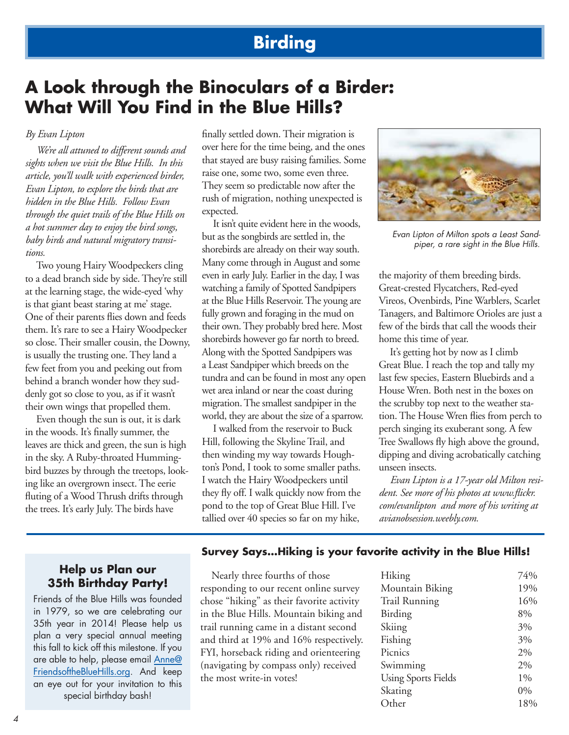### **Birding**

### **A Look through the Binoculars of a Birder: What Will You Find in the Blue Hills?**

#### *By Evan Lipton*

*We're all attuned to different sounds and sights when we visit the Blue Hills. In this article, you'll walk with experienced birder, Evan Lipton, to explore the birds that are hidden in the Blue Hills. Follow Evan through the quiet trails of the Blue Hills on a hot summer day to enjoy the bird songs, baby birds and natural migratory transitions.*

Two young Hairy Woodpeckers cling to a dead branch side by side. They're still at the learning stage, the wide-eyed 'why is that giant beast staring at me' stage. One of their parents flies down and feeds them. It's rare to see a Hairy Woodpecker so close. Their smaller cousin, the Downy, is usually the trusting one. They land a few feet from you and peeking out from behind a branch wonder how they suddenly got so close to you, as if it wasn't their own wings that propelled them.

Even though the sun is out, it is dark in the woods. It's finally summer, the leaves are thick and green, the sun is high in the sky. A Ruby-throated Hummingbird buzzes by through the treetops, looking like an overgrown insect. The eerie fluting of a Wood Thrush drifts through the trees. It's early July. The birds have

finally settled down. Their migration is over here for the time being, and the ones that stayed are busy raising families. Some raise one, some two, some even three. They seem so predictable now after the rush of migration, nothing unexpected is expected.

It isn't quite evident here in the woods, but as the songbirds are settled in, the shorebirds are already on their way south. Many come through in August and some even in early July. Earlier in the day, I was watching a family of Spotted Sandpipers at the Blue Hills Reservoir. The young are fully grown and foraging in the mud on their own. They probably bred here. Most shorebirds however go far north to breed. Along with the Spotted Sandpipers was a Least Sandpiper which breeds on the tundra and can be found in most any open wet area inland or near the coast during migration. The smallest sandpiper in the world, they are about the size of a sparrow.

I walked from the reservoir to Buck Hill, following the Skyline Trail, and then winding my way towards Houghton's Pond, I took to some smaller paths. I watch the Hairy Woodpeckers until they fly off. I walk quickly now from the pond to the top of Great Blue Hill. I've tallied over 40 species so far on my hike,



Evan Lipton of Milton spots a Least Sandpiper, a rare sight in the Blue Hills.

the majority of them breeding birds. Great-crested Flycatchers, Red-eyed Vireos, Ovenbirds, Pine Warblers, Scarlet Tanagers, and Baltimore Orioles are just a few of the birds that call the woods their home this time of year.

It's getting hot by now as I climb Great Blue. I reach the top and tally my last few species, Eastern Bluebirds and a House Wren. Both nest in the boxes on the scrubby top next to the weather station. The House Wren flies from perch to perch singing its exuberant song. A few Tree Swallows fly high above the ground, dipping and diving acrobatically catching unseen insects.

*Evan Lipton is a 17-year old Milton resident. See more of his photos at www.flickr. com/evanlipton and more of his writing at avianobsession.weebly.com.*

#### **Help us Plan our 35th Birthday Party!**

Friends of the Blue Hills was founded in 1979, so we are celebrating our 35th year in 2014! Please help us plan a very special annual meeting this fall to kick off this milestone. If you are able to help, please email Anne@ FriendsoftheBlueHills.org. And keep an eye out for your invitation to this special birthday bash!

#### **Survey Says…Hiking is your favorite activity in the Blue Hills!**

Nearly three fourths of those responding to our recent online survey chose "hiking" as their favorite activity in the Blue Hills. Mountain biking and trail running came in a distant second and third at 19% and 16% respectively. FYI, horseback riding and orienteering (navigating by compass only) received the most write-in votes!

| Hiking                     | 74%   |
|----------------------------|-------|
| Mountain Biking            | 19%   |
| Trail Running              | 16%   |
| Birding                    | 8%    |
| Skiing                     | 3%    |
| Fishing                    | 3%    |
| Picnics                    | 2%    |
| Swimming                   | 2%    |
| <b>Using Sports Fields</b> | $1\%$ |
| Skating                    | 0%    |
| Other                      | 18%   |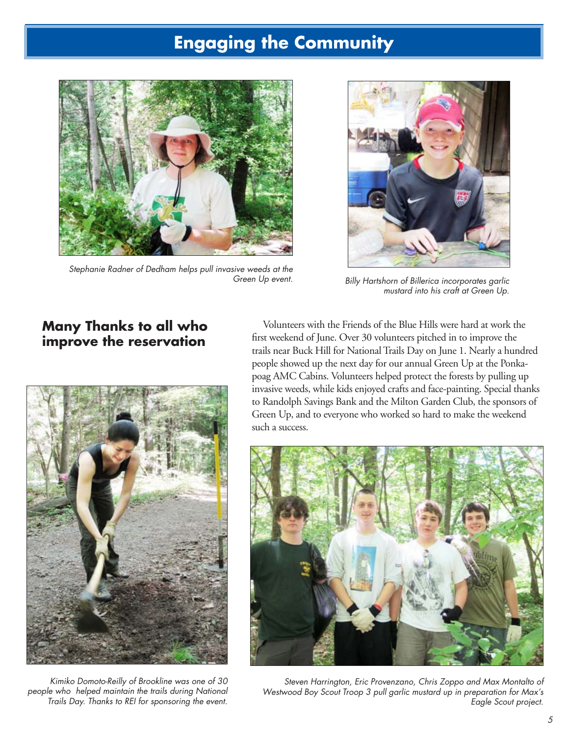## **Engaging the Community**



Stephanie Radner of Dedham helps pull invasive weeds at the Green Up event.



Billy Hartshorn of Billerica incorporates garlic mustard into his craft at Green Up.

### **Many Thanks to all who improve the reservation**



Kimiko Domoto-Reilly of Brookline was one of 30 people who helped maintain the trails during National Trails Day. Thanks to REI for sponsoring the event.

Volunteers with the Friends of the Blue Hills were hard at work the first weekend of June. Over 30 volunteers pitched in to improve the trails near Buck Hill for National Trails Day on June 1. Nearly a hundred people showed up the next day for our annual Green Up at the Ponkapoag AMC Cabins. Volunteers helped protect the forests by pulling up invasive weeds, while kids enjoyed crafts and face-painting. Special thanks to Randolph Savings Bank and the Milton Garden Club, the sponsors of Green Up, and to everyone who worked so hard to make the weekend such a success.



Steven Harrington, Eric Provenzano, Chris Zoppo and Max Montalto of Westwood Boy Scout Troop 3 pull garlic mustard up in preparation for Max's Eagle Scout project.